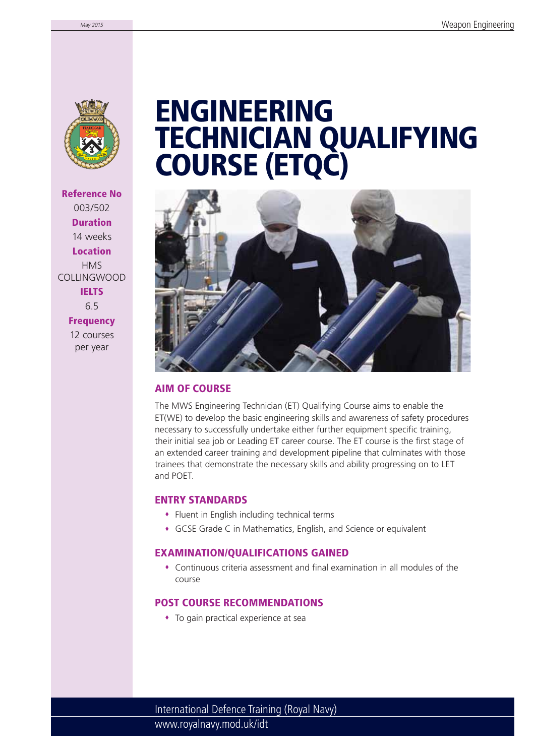

**Reference No** 003/502 **Duration** 14 weeks **Location** HMS COLLINGWOOD **IELTS** 6.5 **Frequency**

> 12 courses per year

# **ENGINEERING TECHNICIAN QUALIFYING COURSE (ETQC)**



### **AIM OF COURSE**

The MWS Engineering Technician (ET) Qualifying Course aims to enable the ET(WE) to develop the basic engineering skills and awareness of safety procedures necessary to successfully undertake either further equipment specific training, their initial sea job or Leading ET career course. The ET course is the first stage of an extended career training and development pipeline that culminates with those trainees that demonstrate the necessary skills and ability progressing on to LET and POET.

#### **ENTRY STANDARDS**

- Fluent in English including technical terms
- GCSE Grade C in Mathematics, English, and Science or equivalent

#### **EXAMINATION/QUALIFICATIONS GAINED**

 $\bullet$  Continuous criteria assessment and final examination in all modules of the course

### **POST COURSE RECOMMENDATIONS**

To gain practical experience at sea